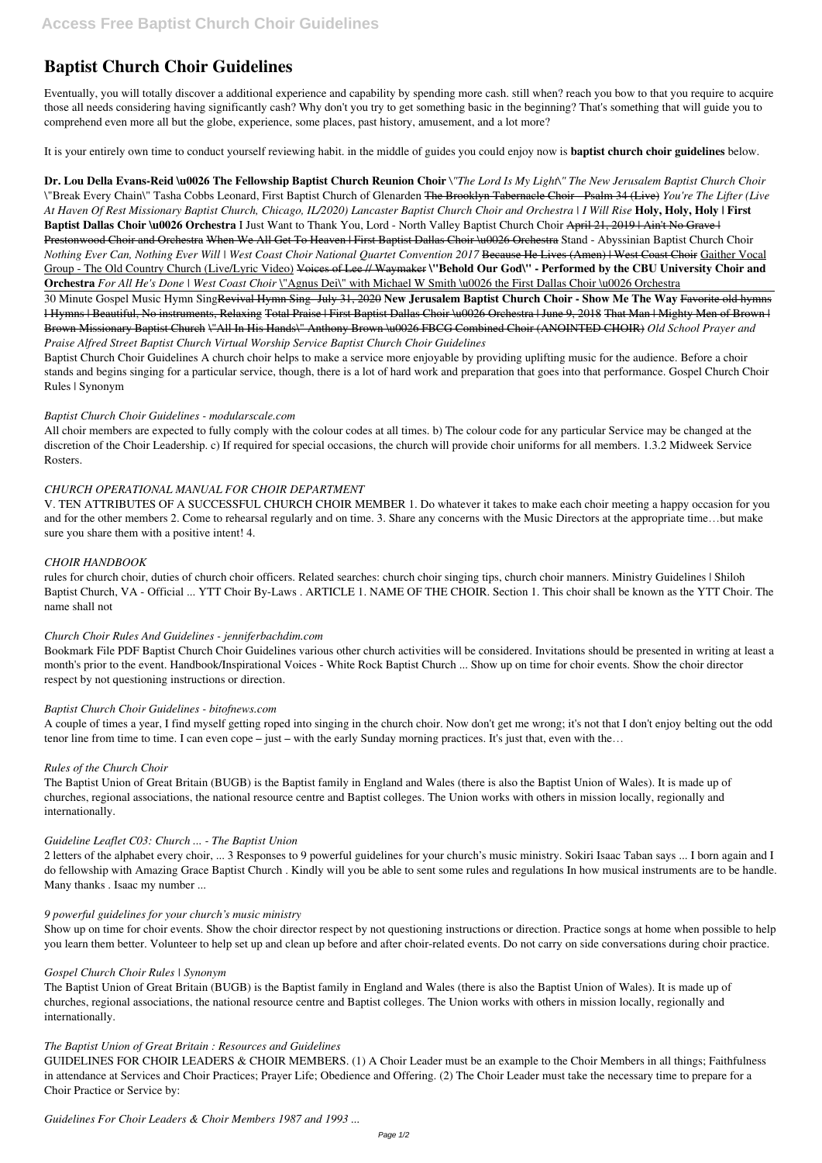# **Baptist Church Choir Guidelines**

Eventually, you will totally discover a additional experience and capability by spending more cash. still when? reach you bow to that you require to acquire those all needs considering having significantly cash? Why don't you try to get something basic in the beginning? That's something that will guide you to comprehend even more all but the globe, experience, some places, past history, amusement, and a lot more?

It is your entirely own time to conduct yourself reviewing habit. in the middle of guides you could enjoy now is **baptist church choir guidelines** below.

**Dr. Lou Della Evans-Reid \u0026 The Fellowship Baptist Church Reunion Choir** *\"The Lord Is My Light\" The New Jerusalem Baptist Church Choir* \"Break Every Chain\" Tasha Cobbs Leonard, First Baptist Church of Glenarden The Brooklyn Tabernacle Choir - Psalm 34 (Live) *You're The Lifter (Live At Haven Of Rest Missionary Baptist Church, Chicago, IL/2020) Lancaster Baptist Church Choir and Orchestra | I Will Rise* **Holy, Holy, Holy | First Baptist Dallas Choir \u0026 Orchestra** I Just Want to Thank You, Lord - North Valley Baptist Church Choir April 21, 2019 | Ain't No Grave | Prestonwood Choir and Orchestra When We All Get To Heaven | First Baptist Dallas Choir \u0026 Orchestra Stand - Abyssinian Baptist Church Choir *Nothing Ever Can, Nothing Ever Will | West Coast Choir National Quartet Convention 2017* Because He Lives (Amen) | West Coast Choir Gaither Vocal Group - The Old Country Church (Live/Lyric Video) Voices of Lee // Waymaker **\"Behold Our God\" - Performed by the CBU University Choir and Orchestra** *For All He's Done | West Coast Choir* \"Agnus Dei\" with Michael W Smith \u0026 the First Dallas Choir \u0026 Orchestra

30 Minute Gospel Music Hymn SingRevival Hymn Sing- July 31, 2020 **New Jerusalem Baptist Church Choir - Show Me The Way** Favorite old hymns l Hymns | Beautiful, No instruments, Relaxing Total Praise | First Baptist Dallas Choir \u0026 Orchestra | June 9, 2018 That Man | Mighty Men of Brown | Brown Missionary Baptist Church \"All In His Hands\" Anthony Brown \u0026 FBCG Combined Choir (ANOINTED CHOIR) *Old School Prayer and Praise Alfred Street Baptist Church Virtual Worship Service Baptist Church Choir Guidelines*

Baptist Church Choir Guidelines A church choir helps to make a service more enjoyable by providing uplifting music for the audience. Before a choir stands and begins singing for a particular service, though, there is a lot of hard work and preparation that goes into that performance. Gospel Church Choir Rules | Synonym

## *Baptist Church Choir Guidelines - modularscale.com*

All choir members are expected to fully comply with the colour codes at all times. b) The colour code for any particular Service may be changed at the discretion of the Choir Leadership. c) If required for special occasions, the church will provide choir uniforms for all members. 1.3.2 Midweek Service Rosters.

## *CHURCH OPERATIONAL MANUAL FOR CHOIR DEPARTMENT*

V. TEN ATTRIBUTES OF A SUCCESSFUL CHURCH CHOIR MEMBER 1. Do whatever it takes to make each choir meeting a happy occasion for you and for the other members 2. Come to rehearsal regularly and on time. 3. Share any concerns with the Music Directors at the appropriate time…but make sure you share them with a positive intent! 4.

## *CHOIR HANDBOOK*

rules for church choir, duties of church choir officers. Related searches: church choir singing tips, church choir manners. Ministry Guidelines | Shiloh Baptist Church, VA - Official ... YTT Choir By-Laws . ARTICLE 1. NAME OF THE CHOIR. Section 1. This choir shall be known as the YTT Choir. The name shall not

## *Church Choir Rules And Guidelines - jenniferbachdim.com*

Bookmark File PDF Baptist Church Choir Guidelines various other church activities will be considered. Invitations should be presented in writing at least a month's prior to the event. Handbook/Inspirational Voices - White Rock Baptist Church ... Show up on time for choir events. Show the choir director respect by not questioning instructions or direction.

## *Baptist Church Choir Guidelines - bitofnews.com*

A couple of times a year, I find myself getting roped into singing in the church choir. Now don't get me wrong; it's not that I don't enjoy belting out the odd tenor line from time to time. I can even cope – just – with the early Sunday morning practices. It's just that, even with the…

## *Rules of the Church Choir*

The Baptist Union of Great Britain (BUGB) is the Baptist family in England and Wales (there is also the Baptist Union of Wales). It is made up of churches, regional associations, the national resource centre and Baptist colleges. The Union works with others in mission locally, regionally and internationally.

## *Guideline Leaflet C03: Church ... - The Baptist Union*

2 letters of the alphabet every choir, ... 3 Responses to 9 powerful guidelines for your church's music ministry. Sokiri Isaac Taban says ... I born again and I do fellowship with Amazing Grace Baptist Church . Kindly will you be able to sent some rules and regulations In how musical instruments are to be handle.

Many thanks . Isaac my number ...

#### *9 powerful guidelines for your church's music ministry*

Show up on time for choir events. Show the choir director respect by not questioning instructions or direction. Practice songs at home when possible to help you learn them better. Volunteer to help set up and clean up before and after choir-related events. Do not carry on side conversations during choir practice.

#### *Gospel Church Choir Rules | Synonym*

The Baptist Union of Great Britain (BUGB) is the Baptist family in England and Wales (there is also the Baptist Union of Wales). It is made up of churches, regional associations, the national resource centre and Baptist colleges. The Union works with others in mission locally, regionally and internationally.

## *The Baptist Union of Great Britain : Resources and Guidelines*

GUIDELINES FOR CHOIR LEADERS & CHOIR MEMBERS. (1) A Choir Leader must be an example to the Choir Members in all things; Faithfulness in attendance at Services and Choir Practices; Prayer Life; Obedience and Offering. (2) The Choir Leader must take the necessary time to prepare for a Choir Practice or Service by:

*Guidelines For Choir Leaders & Choir Members 1987 and 1993 ...*